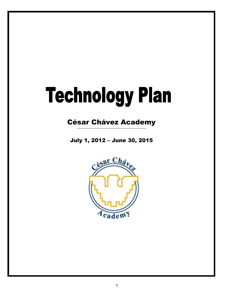# **Technology Plan**

# César Chávez Academy

July 1, 2012 – June 30, 2015

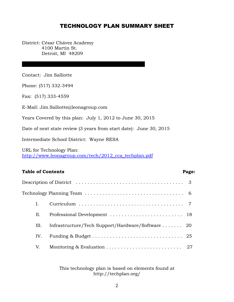# TECHNOLOGY PLAN SUMMARY SHEET

District: César Chávez Academy 4100 Martin St. Detroit, MI 48209

Contact: Jim Salliotte

Phone: (517) 332-3494

Fax: (517) 333-4559

E-Mail: Jim.Salliotte@leonagroup.com

Years Covered by this plan: July 1, 2012 to June 30, 2015

Date of next state review (3 years from start date): June 30, 2015

Intermediate School District: Wayne RESA

URL for Technology Plan: [http://www.leonagroup.com/tech/2012\\_cca\\_techplan.pdf](http://www.leonagroup.com/tech/2012_cca_techplan.pdf)

# Table of Contents **Page:**

|     | Description of District $\dots \dots \dots \dots \dots \dots \dots \dots \dots \dots \dots \dots \dots$   |  |
|-----|-----------------------------------------------------------------------------------------------------------|--|
|     | $\rm Technology~Planning~Team\,\ldots\ldots\ldots\ldots\ldots\ldots\ldots\ldots\ldots\ldots\ldots\quad 6$ |  |
| L.  |                                                                                                           |  |
| Н.  |                                                                                                           |  |
| Ш.  | Infrastructure/Tech Support/Hardware/Software  20                                                         |  |
| IV. |                                                                                                           |  |
| V.  |                                                                                                           |  |

This technology plan is based on elements found at http://techplan.org/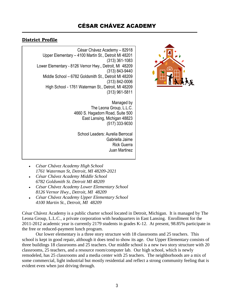# **District Profile**

**School Building** César Chávez Academy – 82918 Upper Elementary – 4100 Martin St., Detroit MI 48201 (313) 361-1083 Lower Elementary - 8126 Vernor Hwy., Detroit, MI 48209 (313) 843-9440 Middle School – 6782 Goldsmith St., Detroit MI 48209 (313) 842-0006 High School - 1761 Waterman St., Detroit, MI 48209 (313) 961-5811

*Phistography Chávez <b>Chávez Chávez The Leona Group, L.L.C.* Managed by 4660 S. Hagadorn Road, Suite 500 East Lansing, Michigan 48823 (517) 333-9030

> School Leaders: Aurelia Berrocal Gabriella Jaime Rick Guerra Juan Martinez

- *César Chávez Academy High School 1761 Waterman St, Detroit, MI 48209-2021*
- *César Chávez Academy Middle School 6782 Goldsmith St. Detroit MI 48209*
- *César Chávez Academy Lower Elementary School 8126 Vernor Hwy., Detroit, MI 48209*
- *César Chávez Academy Upper Elementary School 4100 Martin St., Detroit, MI 48209*

César Chávez Academy is a public charter school located in Detroit, Michigan. It is managed by The Leona Group, L.L.C., a private corporation with headquarters in East Lansing. Enrollment for the 2011-2012 academic year is currently 2179 students in grades K-12. At present, 98.85% participate in the free or reduced-payment lunch program.

Our lower elementary is a three story structure with 18 classrooms and 25 teachers. This school is kept in good repair, although it does tend to show its age. Our Upper Elementary consists of three buildings 18 classrooms and 25 teachers. Our middle school is a new two story structure with 20 classrooms, 25 teachers, and a resource room/computer lab. Our high school, which is newly remodeled, has 25 classrooms and a media center with 25 teachers. The neighborhoods are a mix of some commercial, light industrial but mostly residential and reflect a strong community feeling that is evident even when just driving through.

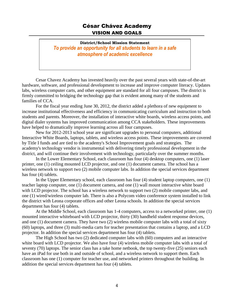# César Chávez Academy VISION AND GOALS

# **District/School Mission Statement** *To provide an opportunity for all students to learn in a safe atmosphere of academic excellence*

Cesar Chavez Academy has invested heavily over the past several years with state-of-the-art hardware, software, and professional development to increase and improve computer literacy. Updates labs, wireless computer carts, and other equipment are standard for all four campuses. The district is firmly committed to bridging the technology gap that is evident among many of the students and families of CCA.

For the fiscal year ending June 30, 2012, the district added a plethora of new equipment to increase institutional effectiveness and efficiency in communicating curriculum and instruction to both students and parents. Moreover, the installation of interactive white boards, wireless access points, and digital dialer systems has improved communication among CCA stakeholders. These improvements have helped to dramatically improve learning across all four campuses.

New for 2012-2013 school year are significant upgrades to personal computers, additional Interactive White Boards, laptops, tablets, and wireless access points. These improvements are covered by Title I funds and are tied to the academy's School Improvement goals and strategies. The academy's technology vendor is instrumental with delivering timely professional development in the district, and will continue their involvement with technology, particularly over the summer months.

In the Lower Elementary School, each classroom has four (4) desktop computers, one (1) laser printer, one (1) ceiling mounted LCD projector, and one (1) document camera. The school has a wireless network to support two (2) mobile computer labs. In addition the special services department has four (4) tablets.

In the Upper Elementary school, each classroom has four (4) student laptop computers, one (1) teacher laptop computer, one (1) document camera, and one (1) wall mount interactive white board with LCD projector. The school has a wireless network to support two  $(2)$  mobile computer labs, and one (1) wired/wireless computer lab. There is also a Polycom video conference system installed to link the district with Leona corporate offices and other Leona schools. In addition the special services department has four (4) tablets.

At the Middle School, each classroom has 1-4 computers, access to a networked printer, one (1) mounted interactive whiteboard with LCD projector, thirty (30) handheld student response devices, and one (1) document camera. They have two (2) wireless mobile computer labs with a total of sixty (60) laptops, and three (3) multi-media carts for teacher presentation that contains a laptop, and a LCD projector. In addition the special services department has four (4) tablets.

The High School has two (2) dedicated computer labs with (60) computers and an interactive white board with LCD projector. We also have four (4) wireless mobile computer labs with a total of seventy (70) laptops. The senior class has a take home netbook, the top twenty-five (25) seniors each have an iPad for use both in and outside of school, and a wireless network to support them. Each classroom has one (1) computer for teacher use, and networked printers throughout the building. In addition the special services department has four (4) tablets.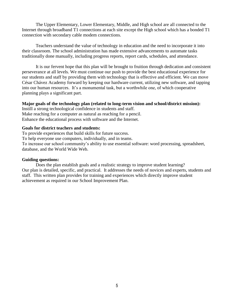The Upper Elementary, Lower Elementary, Middle, and High school are all connected to the Internet through broadband T1 connections at each site except the High school which has a bonded T1 connection with secondary cable modem connections.

Teachers understand the value of technology in education and the need to incorporate it into their classroom. The school administration has made extensive advancements to automate tasks traditionally done manually, including progress reports, report cards, schedules, and attendance.

It is our fervent hope that this plan will be brought to fruition through dedication and consistent perseverance at all levels. We must continue our push to provide the best educational experience for our students and staff by providing them with technology that is effective and efficient. We can move César Chávez Academy forward by keeping our hardware current, utilizing new software, and tapping into our human resources. It's a monumental task, but a worthwhile one, of which cooperative planning plays a significant part.

# **Major goals of the technology plan (related to long-term vision and school/district mission):**

Instill a strong technological confidence in students and staff. Make reaching for a computer as natural as reaching for a pencil. Enhance the educational process with software and the Internet.

# **Goals for district teachers and students:**

To provide experiences that build skills for future success. To help everyone use computers, individually, and in teams. To increase our school community's ability to use essential software: word processing, spreadsheet, database, and the World Wide Web.

# **Guiding questions:**

Does the plan establish goals and a realistic strategy to improve student learning? Our plan is detailed, specific, and practical. It addresses the needs of novices and experts, students and staff. This written plan provides for training and experiences which directly improve student achievement as required in our School Improvement Plan.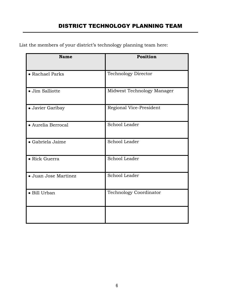List the members of your district's technology planning team here:

| <b>Name</b>          | Position                      |
|----------------------|-------------------------------|
| • Rachael Parks      | <b>Technology Director</b>    |
| · Jim Salliotte      | Midwest Technology Manager    |
| · Javier Garibay     | Regional Vice-President       |
| • Aurelia Berrocal   | School Leader                 |
| · Gabriela Jaime     | School Leader                 |
| • Rick Guerra        | School Leader                 |
| · Juan Jose Martinez | School Leader                 |
| · Bill Urban         | <b>Technology Coordinator</b> |
|                      |                               |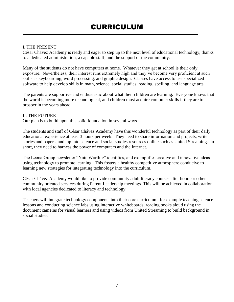# I. THE PRESENT

César Chávez Academy is ready and eager to step up to the next level of educational technology, thanks to a dedicated administration, a capable staff, and the support of the community.

Many of the students do not have computers at home. Whatever they get at school is their only exposure. Nevertheless, their interest runs extremely high and they've become very proficient at such skills as keyboarding, word processing, and graphic design. Classes have access to use specialized software to help develop skills in math, science, social studies, reading, spelling, and language arts.

The parents are supportive and enthusiastic about what their children are learning. Everyone knows that the world is becoming more technological, and children must acquire computer skills if they are to prosper in the years ahead.

# II. THE FUTURE

Our plan is to build upon this solid foundation in several ways.

The students and staff of César Chávez Academy have this wonderful technology as part of their daily educational experience at least 3 hours per week. They need to share information and projects, write stories and papers, and tap into science and social studies resources online such as United Streaming. In short, they need to harness the power of computers and the Internet.

The Leona Group newsletter "Note Worth-e" identifies, and exemplifies creative and innovative ideas using technology to promote learning. This fosters a healthy competitive atmosphere conducive to learning new strategies for integrating technology into the curriculum.

César Chávez Academy would like to provide community adult literacy courses after hours or other community oriented services during Parent Leadership meetings. This will be achieved in collaboration with local agencies dedicated to literacy and technology.

Teachers will integrate technology components into their core curriculum, for example teaching science lessons and conducting science labs using interactive whiteboards, reading books aloud using the document cameras for visual learners and using videos from United Streaming to build background in social studies.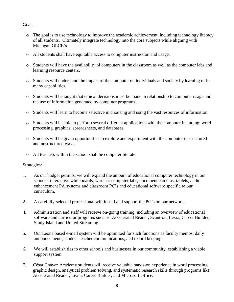# Goal:

- o The goal is to use technology to improve the academic achievement, including technology literacy of all students. Ultimately integrate technology into the core subjects while aligning with Michigan GLCE's.
- o All students shall have equitable access to computer instruction and usage.
- o Students will have the availability of computers in the classroom as well as the computer labs and learning resource centers.
- o Students will understand the impact of the computer on individuals and society by learning of its many capabilities.
- o Students will be taught that ethical decisions must be made in relationship to computer usage and the use of information generated by computer programs.
- o Students will learn to become selective in choosing and using the vast resources of information.
- o Students will be able to perform several different applications with the computer including: word processing, graphics, spreadsheets, and databases.
- o Students will be given opportunities to explore and experiment with the computer in structured and unstructured ways.
- o All teachers within the school shall be computer literate.

# Strategies:

- 1. As our budget permits, we will expand the amount of educational computer technology in our schools: interactive whiteboards, wireless computer labs, document cameras, tablets, audio enhancement PA systems and classroom PC's and educational software specific to our curriculum.
- 2. A carefully-selected professional will install and support the PC's on our network.
- 4. Administration and staff will receive on-going training, including an overview of educational software and curriculur programs such as: Accelerated Reader, Scantron, Lexia, Career Builder, Study Island and United Streaming.
- 5. Our Leona based e-mail system will be optimized for such functions as faculty memos, daily announcements, student-teacher communications, and record keeping.
- 6. We will establish ties to other schools and businesses in our community, establishing a viable support system.
- 7. César Chávez Academy students will receive valuable hands-on experience in word processing, graphic design, analytical problem solving, and systematic research skills through programs like Accelerated Reader, Lexia, Career Builder, and Microsoft Office.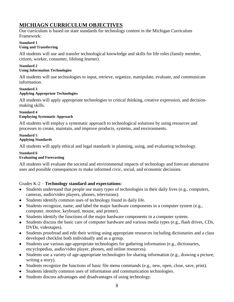# **MICHIAGN CURRICULUM OBJECTIVES**

Our curriculum is based on state standards for technology content in the Michigan Curriculum Framework:

#### **Standard 1 Using and Transferring**

All students will use and transfer technological knowledge and skills for life roles (family member, citizen, worker, consumer, lifelong learner).

#### **Standard 2 Using Information Technologies**

All students will use technologies to input, retrieve, organize, manipulate, evaluate, and communicate information.

# **Standard 3 Applying Appropriate Technologies**

All students will apply appropriate technologies to critical thinking, creative expression, and decisionmaking skills.

#### **Standard 4 Employing Systematic Approach**

All students will employ a systematic approach to technological solutions by using resources and processes to create, maintain, and improve products, systems, and environments.

#### **Standard 5 Applying Standards**

All students will apply ethical and legal standards in planning, using, and evaluating technology.

# **Standard 6**

# **Evaluating and Forecasting**

All students will evaluate the societal and environmental impacts of technology and forecast alternative uses and possible consequences to make informed civic, social, and economic decisions.

# Grades K-2 – **Technology standard and expectations:**

- Students understand that people use many types of technologies in their daily lives (e.g., computers,  $\bullet$ cameras, audio/video players, phones, televisions).
- Students identify common uses of technology found in daily life.  $\bullet$
- Students recognize, name, and label the major hardware components in a computer system (e.g., computer, monitor, keyboard, mouse, and printer).
- Students identify the functions of the major hardware components in a computer system.
- Students discuss the basic care of computer hardware and various media types (e.g., flash drives, CDs, DVDs, videotapes).
- Students proofread and edit their writing using appropriate resources including dictionaries and a class developed checklist both individually and as a group.
- Students use various age-appropriate technologies for gathering information (e.g., dictionaries,  $\bullet$ encyclopedias, audio/video player, phones, and online resources).
- Students use a variety of age-appropriate technologies for sharing information (e.g., drawing a picture, writing a story).
- Students recognize the functions of basic file menu commands (e.g., new, open, close, save, print).
- Students identify common uses of information and communication technologies.
- Students discuss advantages and disadvantages of using technology.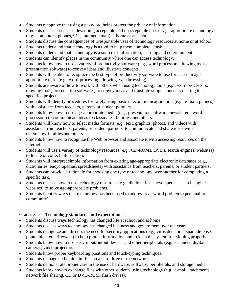- Students recognize that using a password helps protect the privacy of information.
- Students discuss scenarios describing acceptable and unacceptable uses of age-appropriate technology  $\bullet$ (e.g., computers, phones, 911, internet, email) at home or at school.
- Students discuss the consequences of irresponsible uses of technology resources at home or at school.  $\bullet$
- Students understand that technology is a tool to help them complete a task.  $\bullet$
- Students understand that technology is a source of information, learning and entertainment.
- Students can identify places in the community where one can access technology.
- Students know how to use a variety of productivity software (e.g., word processors, drawing tools, presentation software) to convey ideas and illustrate concepts.
- Students will be able to recognize the best type of productivity software to use for a certain age- $\bullet$ appropriate tasks (e.g., word-processing, drawing, web browsing).
- Students are aware of how to work with others when using technology tools (e.g., word processors,  $\bullet$ drawing tools, presentation software,) to convey ideas and illustrate simple concepts relating to a specified project.
- Students will identify procedures for safely using basic telecommunication tools (e.g., e-mail, phones) with assistance from teachers, parents or student partners.
- Students know how to use age-appropriate media (e.g., presentation software, newsletters, word processors) to communicate ideas to classmates, families, and others.
- Students will know how to select media formats (e.g., text, graphics, photos, and video) with assistance from teachers, parents, or student partners, to communicate and share ideas with classmates, families and others.
- Students know how to recognize the Web browser and associate it with accessing resources on the internet.
- Students will use a variety of technology resources (e.g., CD-ROMs, DVDs, search engines, websites) to locate or collect information.
- Students will interpret simple information from existing age-appropriate electronic databases (e.g., dictionaries, encyclopedias, spreadsheets) with assistance from teachers, parents, or student partners.
- Students can provide a rationale for choosing one type of technology over another for completing a  $\bullet$ specific task.
- Students discuss how to use technology resources (e.g., dictionaries, encyclopedias, search engines, websites) to solve age-appropriate problems.
- Students identify ways that technology has been used to address real-world problems (personal or  $\bullet$ community).

# Grades 3- 5 – **Technology standards and expectations:**

- Students discuss ways technology has changed life at school and at home.
- Students discuss ways technology has changed business and government over the years.
- Students recognize and discuss the need for security applications (e.g., virus detection, spam defense,  $\bullet$ popup blockers, firewalls) to help protect information and to keep the system functioning properly.
- Students know how to use basic input/output devices and other peripherals (e.g., scanners, digital cameras, video projectors).
- Students know proper keyboarding positions and touch-typing techniques.
- Students manage and maintain files on a hard drive or the network.
- Students demonstrate proper care in the use of hardware, software, peripherals, and storage media.
- Students know how to exchange files with other students using technology (e.g., e-mail attachments, network file sharing, CD or DVD-ROM, flash drives).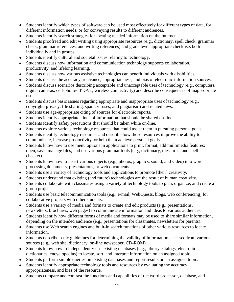- Students identify which types of software can be used most effectively for different types of data, for different information needs, or for conveying results to different audiences.
- Students identify search strategies for locating needed information on the internet.
- Students proofread and edit writing using appropriate resources (e.g., dictionary, spell check, grammar  $\bullet$ check, grammar references, and writing references) and grade level appropriate checklists both individually and in groups.
- Students identify cultural and societal issues relating to technology.  $\bullet$
- Students discuss how information and communication technology supports collaboration,  $\bullet$ productivity, and lifelong learning.
- Students discuss how various assistive technologies can benefit individuals with disabilities.  $\bullet$
- Students discuss the accuracy, relevance, appropriateness, and bias of electronic information sources.  $\bullet$
- Students discuss scenarios describing acceptable and unacceptable uses of technology (e.g., computers, digital cameras, cell-phones, PDA's, wireless connectivity) and describe consequences of inappropriate use.
- Students discuss basic issues regarding appropriate and inappropriate uses of technology (e.g.,  $\bullet$ copyright, privacy, file sharing, spam, viruses, and plagiarism) and related laws.
- Students use age-appropriate citing of sources for electronic reports.  $\bullet$
- Students identify appropriate kinds of information that should be shared on-line.
- Students identify safety precautions that should be taken while on-line.  $\bullet$
- Students explore various technology resources that could assist them in pursuing personal goals.
- Students identify technology resources and describe how those resources improve the ability to  $\bullet$ communicate, increase productivity, or help them achieve personal goals.
- Students know how to use menu options in applications to print, format, add multimedia features; open, save, manage files; and use various grammar tools (e.g., dictionary, thesaurus, and spellchecker).
- Students know how to insert various objects (e.g., photos, graphics, sound, and video) into word processing documents, presentations, or web documents.
- Students use a variety of technology tools and applications to promote [their] creativity.  $\bullet$
- Students understand that existing (and future) technologies are the result of human creativity.
- Students collaborate with classmates using a variety of technology tools to plan, organize, and create a  $\bullet$ group project.
- Students use basic telecommunication tools (e.g., e-mail, WebQuests, blogs, web conferencing) for collaborative projects with other students.
- Students use a variety of media and formats to create and edit products (e.g., presentations, newsletters, brochures, web pages) to communicate information and ideas to various audiences.
- Students identify how different forms of media and formats may be used to share similar information,  $\bullet$ depending on the intended audience (e.g., presentations for classmates, newsletters for parents).
- Students use Web search engines and built-in search functions of other various resources to locate  $\bullet$ information.
- $\bullet$ Students describe basic guidelines for determining the validity of information accessed from various sources (e.g., web site, dictionary, on-line newspaper, CD-ROM).
- Students know how to independently use existing databases (e.g., library catalogs, electronic  $\bullet$ dictionaries, encyclopedias) to locate, sort, and interpret information on an assigned topic.
- Students perform simple queries on existing databases and report results on an assigned topic.
- Students identify appropriate technology tools and resources by evaluating the accuracy, appropriateness, and bias of the resource.
- Students compare and contrast the functions and capabilities of the word processor, database, and  $\bullet$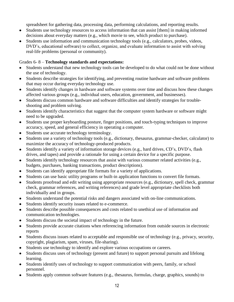spreadsheet for gathering data, processing data, performing calculations, and reporting results.

- Students use technology resources to access information that can assist [them] in making informed decisions about everyday matters (e.g., which movie to see, which product to purchase).
- Students use information and communication technology tools (e.g., calculators, probes, videos, DVD's, educational software) to collect, organize, and evaluate information to assist with solving real-life problems (personal or community).

# Grades 6- 8 – **Technology standards and expectations:**

- Students understand that new technology tools can be developed to do what could not be done without  $\bullet$ the use of technology.
- Students describe strategies for identifying, and preventing routine hardware and software problems that may occur during everyday technology use.
- Students identify changes in hardware and software systems over time and discuss how these changes affected various groups (e.g., individual users, education, government, and businesses).
- Students discuss common hardware and software difficulties and identify strategies for trouble- $\bullet$ shooting and problem solving.
- Students identify characteristics that suggest that the computer system hardware or software might need to be upgraded.
- Students use proper keyboarding posture, finger positions, and touch-typing techniques to improve accuracy, speed, and general efficiency in operating a computer.
- Students use accurate technology terminology.
- Students use a variety of technology tools (e.g., dictionary, thesaurus, grammar-checker, calculator) to maximize the accuracy of technology-produced products.
- Students identify a variety of information storage devices (e.g., hard drives, CD's, DVD's, flash drives, and tapes) and provide a rationale for using a certain device for a specific purpose.
- Students identify technology resources that assist with various consumer related activities (e.g.,  $\bullet$ budgets, purchases, banking transactions, product descriptions).
- Students can identify appropriate file formats for a variety of applications.
- Students can use basic utility programs or built-in application functions to convert file formats.
- Students proofread and edit writing using appropriate resources (e.g., dictionary, spell check, grammar check, grammar references, and writing references) and grade level appropriate checklists both individually and in groups.
- Students understand the potential risks and dangers associated with on-line communications.
- Students identify security issues related to e-commerce.
- Students describe possible consequences and costs related to unethical use of information and communication technologies.
- Students discuss the societal impact of technology in the future.
- Students provide accurate citations when referencing information from outside sources in electronic reports
- $\bullet$ Students discuss issues related to acceptable and responsible use of technology (e.g., privacy, security, copyright, plagiarism, spam, viruses, file-sharing).
- Students use technology to identify and explore various occupations or careers.
- Students discuss uses of technology (present and future) to support personal pursuits and lifelong learning.
- Students identify uses of technology to support communication with peers, family, or school personnel.
- Students apply common software features (e.g., thesaurus, formulas, charge, graphics, sounds) to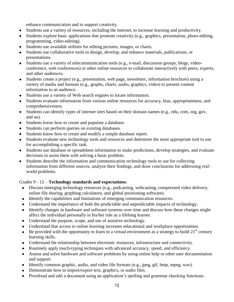enhance communication and to support creativity.

- Students use a variety of resources, including the internet, to increase learning and productivity.
- Students explore basic applications that promote creativity (e.g., graphics, presentation, photo-editing, programming, video-editing).
- Students use available utilities for editing pictures, images, or charts.
- Students use collaborative tools to design, develop, and enhance materials, publications, or presentations.
- Students use a variety of telecommunication tools (e.g., e-mail, discussion groups, blogs, videoconference, web conferences) or other online resources to collaborate interactively with peers, experts, and other audiences.
- Students create a project (e.g., presentation, web page, newsletter, information brochure) using a variety of media and formats (e.g., graphs, charts, audio, graphics, video) to present content information to an audience.
- Students use a variety of Web search engines to locate information.
- Students evaluate information from various online resources for accuracy, bias, appropriateness, and comprehensiveness.
- Students can identify types of internet sites based on their domain names (e.g., edu, com, org, gov, and au).
- Students know how to create and populate a database.
- Students can perform queries on existing databases.
- Students know how to create and modify a simple database report.
- Students evaluate new technology tools and resources and determine the most appropriate tool to use for accomplishing a specific task.
- Students use database or spreadsheet information to make predictions, develop strategies, and evaluate decisions to assist them with solving a basic problem.
- Students describe the information and communication technology tools to use for collecting information from different sources, analyze their findings, and draw conclusions for addressing realworld problems.

# Grades 9 - 12 – **Technology standards and expectations:**

- Discuss emerging technology resources (e.g., podcasting, webcasting, compressed video delivery, online file sharing, graphing calculators, and global positioning software).
- Identify the capabilities and limitations of emerging communication resources.
- Understand the importance of both the predictable and unpredictable impacts of technology.
- Identify changes in hardware and software systems over time and discuss how these changes might affect the individual personally in his/her role as a lifelong learner.
- Understand the purpose, scope, and use of assistive technology.
- Understand that access to online learning increases educational and workplace opportunities.
- $\bullet$  Be provided with the opportunity to learn in a virtual environment as a strategy to build 21<sup>st</sup> century learning skills.
- Understand the relationship between electronic resources, infrastructure and connectivity.
- Routinely apply touch-typing techniques with advanced accuracy, speed, and efficiency.
- Assess and solve hardware and software problems by using online help or other user documentation and support.
- $\bullet$  Identify common graphic, audio, and video file formats (e.g., jpeg, gif, bmp, mpeg, wav).
- Demonstrate how to import/export text, graphics, or audio files.
- Proofread and edit a document using an application's spelling and grammar checking functions.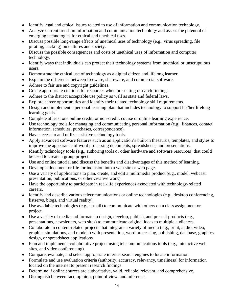- Identify legal and ethical issues related to use of information and communication technology.
- Analyze current trends in information and communication technology and assess the potential of emerging technologies for ethical and unethical uses.
- Discuss possible long-range effects of unethical uses of technology (e.g., virus spreading, file pirating, hacking) on cultures and society.
- Discuss the possible consequences and costs of unethical uses of information and computer technology.
- Identify ways that individuals can protect their technology systems from unethical or unscrupulous users.
- Demonstrate the ethical use of technology as a digital citizen and lifelong learner.
- Explain the difference between freeware, shareware, and commercial software.
- Adhere to fair use and copyright guidelines.
- Create appropriate citations for resources when presenting research findings.
- Adhere to the district acceptable use policy as well as state and federal laws.
- Explore career opportunities and identify their related technology skill requirements.
- Design and implement a personal learning plan that includes technology to support his/her lifelong learning goals.
- Complete at least one online credit, or non-credit, course or online learning experience.
- Use technology tools for managing and communicating personal information (e.g., finances, contact information, schedules, purchases, correspondence).
- Have access to and utilize assistive technology tools.
- Apply advanced software features such as an application's built-in thesaurus, templates, and styles to improve the appearance of word processing documents, spreadsheets, and presentations.
- Identify technology tools (e.g., authoring tools or other hardware and software resources) that could be used to create a group project.
- Use and online tutorial and discuss the benefits and disadvantages of this method of learning.
- Develop a document or file for inclusion into a web site or web page.
- Use a variety of applications to plan, create, and edit a multimedia product (e.g., model, webcast, presentation, publications, or other creative work).
- Have the opportunity to participate in real-life experiences associated with technology-related careers.
- Identify and describe various telecommunications or online technologies (e.g., desktop conferencing, listservs, blogs, and virtual reality).
- Use available technologies (e.g., e-mail) to communicate with others on a class assignment or project.
- Use a variety of media and formats to design, develop, publish, and present products (e.g., presentations, newsletters, web sites) to communicate original ideas to multiple audiences.
- Collaborate in content-related projects that integrate a variety of media (e.g., print, audio, video, graphic, simulations, and models) with presentation, word processing, publishing, database, graphics design, or spreadsheet applications.
- Plan and implement a collaborative project using telecommunications tools (e.g., interactive web sites, and video conferencing).
- Compare, evaluate, and select appropriate internet search engines to locate information.
- Formulate and use evaluation criteria (authority, accuracy, relevancy, timeliness) for information located on the internet to present research findings.
- Determine if online sources are authoritative, valid, reliable, relevant, and comprehensive.
- Distinguish between fact, opinion, point of view, and inference.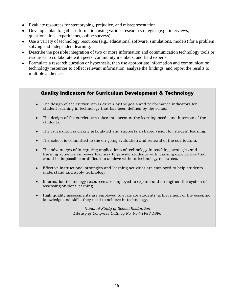- Evaluate resources for stereotyping, prejudice, and misrepresentation.
- Develop a plan to gather information using various research strategies (e.g., interviews, questionnaires, experiments, online surveys).
- Use a variety of technology resources (e.g., educational software, simulations, models) for a problem solving and independent learning.
- Describe the possible integration of two or more information and communication technology tools or resources to collaborate with peers, community members, and field experts.
- Formulate a research question or hypothesis, then use appropriate information and communication technology resources to collect relevant information, analyze the findings, and report the results to multiple audiences.

# Quality Indicators for Curriculum Development & Technology

- The design of the curriculum is driven by the goals and performance indicators for  $\bullet$ student learning in technology that has been defined by the school.
- The design of the curriculum takes into account the learning needs and interests of the students.
- The curriculum is clearly articulated and supports a shared vision for student learning.  $\bullet$
- The school is committed to the on-going evaluation and renewal of the curriculum.  $\bullet$
- The advantages of integrating applications of technology in teaching strategies and learning activities empower teachers to provide students with learning experiences that would be impossible or difficult to achieve without technology resources.
- Effective instructional strategies and learning activities are employed to help students understand and apply technology.
- Information technology resources are employed to expand and strengthen the system of assessing student learning.
- High quality assessments are employed to evaluate students' achievement of the essential knowledge and skills they need to achieve in technology.

*National Study of School Evaluation Library of Congress Catalog No. 95-71988.1996*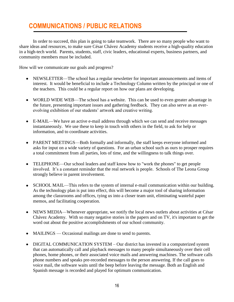# **COMMUNICATIONS / PUBLIC RELATIONS**

In order to succeed, this plan is going to take teamwork. There are so many people who want to share ideas and resources, to make sure César Chávez Academy students receive a high-quality education in a high-tech world. Parents, students, staff, civic leaders, educational experts, business partners, and community members must be included.

How will we communicate our goals and progress?

- NEWSLETTER—The school has a regular newsletter for important announcements and items of interest. It would be beneficial to include a Technology Column written by the principal or one of the teachers. This could be a regular report on how our plans are developing.
- WORLD WIDE WEB—The school has a website. This can be used to even greater advantage in the future, presenting important issues and gathering feedback. They can also serve as an everevolving exhibition of our students' artwork and creative writing.
- E-MAIL—We have an active e-mail address through which we can send and receive messages instantaneously. We use these to keep in touch with others in the field, to ask for help or information, and to coordinate activities.
- PARENT MEETINGS—Both formally and informally, the staff keeps everyone informed and asks for input on a wide variety of questions. For an urban school such as ours to prosper requires a total commitment from all parties, lots of time, and the willingness to talk things over.
- TELEPHONE—Our school leaders and staff know how to "work the phones" to get people  $\bullet$ involved. It's a constant reminder that the real network is people. Schools of The Leona Group strongly believe in parent involvement.
- SCHOOL MAIL—This refers to the system of internal e-mail communication within our building. As the technology plan is put into effect, this will become a major tool of sharing information among the classrooms and offices, tying us into a closer team unit, eliminating wasteful paper memos, and facilitating cooperation.
- NEWS MEDIA—Whenever appropriate, we notify the local news outlets about activities at César  $\bullet$ Chávez Academy. With so many negative stories in the papers and on TV, it's important to get the word out about the positive accomplishments of our school community.
- MAILINGS Occasional mailings are done to send to parents.
- DIGITAL COMMUNICATION SYSTEM Our district has invested in a computerized system that can automatically call and playback messages to many people simultaneously over their cell phones, home phones, or their associated voice mails and answering machines. The software calls phone numbers and speaks pre-recorded messages to the person answering. If the call goes to voice mail, the software waits until the beep before leaving the message. Both an English and Spanish message is recorded and played for optimum communication.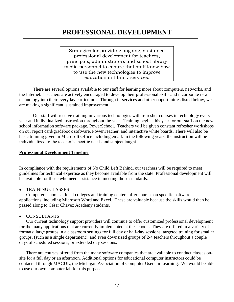# **PROFESSIONAL DEVELOPMENT**

Strategies for providing ongoing, sustained professional development for teachers, principals, administrators and school library media personnel to ensure that staff know how to use the new technologies to improve education or library services.

There are several options available to our staff for learning more about computers, networks, and the Internet. Teachers are actively encouraged to develop their professional skills and incorporate new technology into their everyday curriculum. Through in-services and other opportunities listed below, we are making a significant, sustained improvement.

Our staff will receive training in various technologies with refresher courses in technology every year and individualized instruction throughout the year. Training begins this year for our staff on the new school information software package, PowerSchool. Teachers will be given constant refresher workshops on our report card/gradebook software, PowerTeacher, and interactive white boards. There will also be basic training given in Microsoft Office including email. In the following years, the instruction will be individualized to the teacher's specific needs and subject taught.

#### **Professional Development Timeline**

In compliance with the requirements of No Child Left Behind, our teachers will be required to meet guidelines for technical expertise as they become available from the state. Professional development will be available for those who need assistance in meeting those standards.

TRAINING CLASSES

Computer schools at local colleges and training centers offer courses on specific software applications, including Microsoft Word and Excel. These are valuable because the skills would then be passed along to César Chávez Academy students.

CONSULTANTS

Our current technology support providers will continue to offer customized professional development for the many applications that are currently implemented at the schools. They are offered in a variety of formats; large groups in a classroom settings for full day or half-day sessions, targeted training for smaller groups, (such as a single department), and even downsized groups of 2-4 teachers throughout a couple days of scheduled sessions, or extended day sessions.

There are courses offered from the many software companies that are available to conduct classes onsite for a full day or an afternoon. Additional options for educational computer instructors could be contacted through MACUL, the Michigan Association of Computer Users in Learning. We would be able to use our own computer lab for this purpose.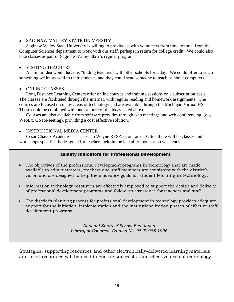# SAGINAW VALLEY STATE UNIVERSITY

Saginaw Valley State University is willing to provide us with volunteers from time to time, from the Computer Sciences department to work with our staff, perhaps in return for college credit. We could also take classes as part of Saginaw Valley State's regular program.

# • VISITING TEACHERS

A similar idea would have us "trading teachers" with other schools for a day. We could offer to teach something we know well to their students, and they could send someone to teach us about computers.

# • ONLINE CLASSES

Long Distance Learning Centers offer online courses and training sessions on a subscription basis. The classes are facilitated through the internet, with regular reading and homework assignments. The courses are focused on many areas of technology and are available through the Michigan Virtual HS. These could be combined with one or more of the ideas listed above.

Courses are also available from software provides through web meetings and web conferencing, (e.g. WebEx, GoToMeeting), providing a cost effective solution.

# INSTRUCTIONAL MEDIA CENTER

César Chávez Academy has access to Wayne RESA in our area. Often there will be classes and workshops specifically designed for teachers held in the late afternoons or on weekends.

# Quality Indicators for Professional Development

- The objectives of the professional development programs in technology that are made available to administrators, teachers and staff members are consistent with the district's vision and are designed to help them advance goals for student learning in technology.
- Information technology resources are effectively employed to support the design and delivery of professional development programs and follow-up assistance for teachers and staff.
- The district's planning process for professional development in technology provides adequate support for the initiation, implementation and the institutionalization phases of effective staff development programs.

*National Study of School Evaluation Library of Congress Catalog No. 95-71988.1996*

Strategies, supporting resources and other electronically-delivered learning materials and print resources will be used to ensure successful and effective uses of technology.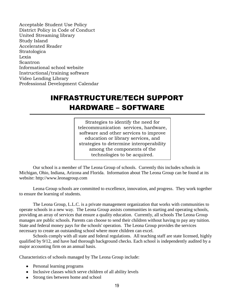Acceptable Student Use Policy District Policy in Code of Conduct United Streaming library Study Island Accelerated Reader Stratologica Lexia Scantron Informational school website Instructional/training software Video Lending Library Professional Development Calendar

# INFRASTRUCTURE/TECH SUPPORT HARDWARE – SOFTWARE

Strategies to identify the need for telecommunication services, hardware, software and other services to improve education or library services, and strategies to determine interoperability among the components of the technologies to be acquired.

Our school is a member of The Leona Group of schools. Currently this includes schools in Michigan, Ohio, Indiana, Arizona and Florida. Information about The Leona Group can be found at its website: http://www.leonagroup.com

Leona Group schools are committed to excellence, innovation, and progress. They work together to ensure the learning of students.

The Leona Group, L.L.C. is a private management organization that works with communities to operate schools in a new way. The Leona Group assists communities in starting and operating schools, providing an array of services that ensure a quality education. Currently, all schools The Leona Group manages are public schools. Parents can choose to send their children without having to pay any tuition. State and federal money pays for the schools' operation. The Leona Group provides the services necessary to create an outstanding school where more children can excel.

Schools comply with all state and federal regulations. All teaching staff are state licensed, highly qualified by 9/12, and have had thorough background checks. Each school is independently audited by a major accounting firm on an annual basis.

Characteristics of schools managed by The Leona Group include:

- Personal learning programs
- Inclusive classes which serve children of all ability levels
- Strong ties between home and school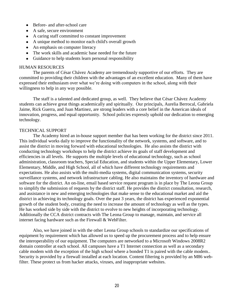- Before- and after-school care
- A safe, secure environment  $\bullet$
- A caring staff committed to constant improvement  $\bullet$
- A unique method to monitor each child's overall growth
- An emphasis on computer literacy  $\bullet$
- The work skills and academic base needed for the future  $\bullet$
- $\bullet$ Guidance to help students learn personal responsibility

#### HUMAN RESOURCES

The parents of César Chávez Academy are tremendously supportive of our efforts. They are committed to providing their children with the advantages of an excellent education. Many of them have expressed their enthusiasm over what we're doing with computers in the school, along with their willingness to help in any way possible.

The staff is a talented and dedicated group, as well. They believe that César Chávez Academy students can achieve great things academically and spiritually. Our principals, Aurelia Berrocal, Gabriela Jaime, Rick Guerra, and Juan Martinez, are strong leaders with a core belief in the American ideals of innovation, progress, and equal opportunity. School policies expressly uphold our dedication to emerging technology.

#### TECHNICAL SUPPORT

The Academy hired an in-house support member that has been working for the district since 2011. This individual works daily to improve the functionality of the network, systems, and software, and to assist the district in moving forward with educational technologies. He also assists the district with conducting technology workshops to help the district achieve its goals of staff development and efficiencies in all levels. He supports the multiple levels of educational technology, such as school administration, classroom teachers, Special Education, and students within the Upper Elementary, Lower Elementary, Middle, and High School, all of which have different technology requirements and expectations. He also assists with the multi-media systems, digital communication systems, security surveillance systems, and network infrastructure cabling. He also maintains the inventory of hardware and software for the district. An on-line, email based service request program is in place by The Leona Group to simplify the submission of requests by the district staff. He provides the district consultation, research, and assistance in new and emerging technologies that make sense to the educational market and aid the district in achieving its technology goals. Over the past 3 years, the district has experienced exponential growth of the student body, creating the need to increase the amount of technology as well as the types. He has worked side by side with the district to evolve to new heights of incorporating technology. Additionally the CCA district contracts with The Leona Group to manage, maintain, and service all internet facing hardware such as the Firewall & WebFilter.

Also, we have joined in with the other Leona Group schools to standardize our specifications of equipment by requirement which has allowed us to speed up the procurement process and to help ensure the interoperability of our equipment. The computers are networked to a Microsoft Windows 2008R2 domain controller at each school. All campuses have a T1 Internet connection as well as a secondary cable modem with the exception of the high school where a bonded T1 is paired with the cable modem.. Security is provided by a firewall installed at each location. Content filtering is provided by an M86 webfilter. These protect us from hacker attacks, viruses, and inappropriate websites.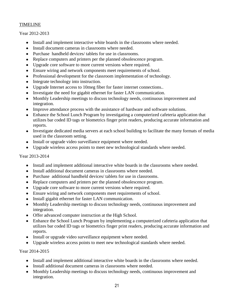# TIMELINE

# Year 2012-2013

- $\bullet$ Install and implement interactive white boards in the classrooms where needed.
- Install document cameras in classrooms where needed.
- Purchase handheld devices/ tablets for use in classrooms.
- Replace computers and printers per the planned obsolescence program.  $\bullet$
- Upgrade core software to more current versions where required.
- Ensure wiring and network components meet requirements of school.  $\bullet$
- Professional development for the classroom implementation of technology.
- Integrate technology into instruction.  $\bullet$
- Upgrade Internet access to 10meg fiber for faster internet connections..  $\bullet$
- Investigate the need for gigabit ethernet for faster LAN communication.
- Monthly Leadership meetings to discuss technology needs, continuous improvement and integration.
- Improve attendance process with the assistance of hardware and software solutions.
- Enhance the School Lunch Program by investigating a computerized cafeteria application that  $\bullet$ utilizes bar coded ID tags or biometrics finger print readers, producing accurate information and reports.
- Investigate dedicated media servers at each school building to facilitate the many formats of media used in the classroom setting.
- Install or upgrade video surveillance equipment where needed.
- Upgrade wireless access points to meet new technological standards where needed.  $\bullet$

# Year 2013-2014

- Install and implement additional interactive white boards in the classrooms where needed.
- Install additional document cameras in classrooms where needed.
- Purchase additional handheld devices/ tablets for use in classrooms.
- Replace computers and printers per the planned obsolescence program.
- Upgrade core software to more current versions where required.  $\bullet$
- Ensure wiring and network components meet requirements of school.
- Install gigabit ethernet for faster LAN communication.  $\bullet$
- Monthly Leadership meetings to discuss technology needs, continuous improvement and integration.
- Offer advanced computer instruction at the High School.
- Enhance the School Lunch Program by implementing a computerized cafeteria application that utilizes bar coded ID tags or biometrics finger print readers, producing accurate information and reports.
- $\bullet$ Install or upgrade video surveillance equipment where needed.
- Upgrade wireless access points to meet new technological standards where needed.  $\bullet$

# Year 2014-2015

- Install and implement additional interactive white boards in the classrooms where needed.
- Install additional document cameras in classrooms where needed.
- Monthly Leadership meetings to discuss technology needs, continuous improvement and integration.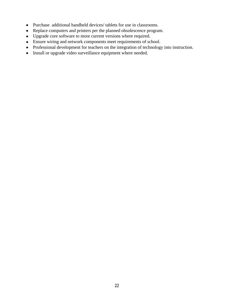- Purchase additional handheld devices/ tablets for use in classrooms.
- Replace computers and printers per the planned obsolescence program.
- Upgrade core software to more current versions where required.
- Ensure wiring and network components meet requirements of school.
- Professional development for teachers on the integration of technology into instruction.
- Install or upgrade video surveillance equipment where needed.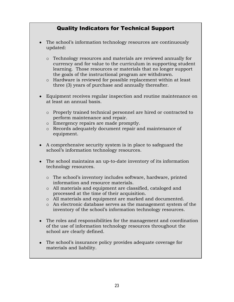# Quality Indicators for Technical Support

- The school's information technology resources are continuously updated:
	- o Technology resources and materials are reviewed annually for currency and for value to the curriculum in supporting student learning. Those resources or materials that no longer support the goals of the instructional program are withdrawn.
	- o Hardware is reviewed for possible replacement within at least three (3) years of purchase and annually thereafter.
- Equipment receives regular inspection and routine maintenance on at least an annual basis.
	- o Properly trained technical personnel are hired or contracted to perform maintenance and repair.
	- o Emergency repairs are made promptly.
	- o Records adequately document repair and maintenance of equipment.
- A comprehensive security system is in place to safeguard the school's information technology resources.
- The school maintains an up-to-date inventory of its information technology resources.
	- o The school's inventory includes software, hardware, printed information and resource materials.
	- o All materials and equipment are classified, cataloged and processed at the time of their acquisition.
	- o All materials and equipment are marked and documented.
	- o An electronic database serves as the management system of the inventory of the school's information technology resources.
- The roles and responsibilities for the management and coordination of the use of information technology resources throughout the school are clearly defined.
- The school's insurance policy provides adequate coverage for materials and liability.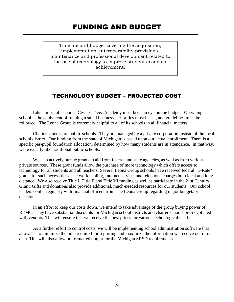Timeline and budget covering the acquisition, implementation, interoperability provisions, maintenance and professional development related to the use of technology to improve student academic achievement.

# TECHNOLOGY BUDGET – PROJECTED COST

Like almost all schools, César Chávez Academy must keep an eye on the budget. Operating a school is the equivalent of running a small business. Priorities must be set, and guidelines must be followed. The Leona Group is extremely helpful to all of its schools in all financial matters.

Charter schools are public schools. They are managed by a private corporation instead of the local school district. Our funding from the state of Michigan is based upon our actual enrollment. There is a specific per-pupil foundation allocation, determined by how many students are in attendance. In that way, we're exactly like traditional public schools.

We also actively pursue grants in aid from federal and state agencies, as well as from various private sources. These grant funds allow the purchase of more technology which offers access to technology for all students and all teachers. Several Leona Group schools have received federal "E-Rate" grants for such necessities as network cabling, Internet service, and telephone charges both local and long distance. We also receive Title I, Title II and Title VI funding as well as participate in the 21st Century Grant. Gifts and donations also provide additional, much-needed resources for our students. Our school leaders confer regularly with financial officers from The Leona Group regarding major budgetary decisions.

In an effort to keep our costs down, we intend to take advantage of the group buying power of REMC. They have substantial discounts for Michigan school districts and charter schools pre-negotiated with vendors. This will ensure that we receive the best prices for various technological needs.

As a further effort to control costs, we will be implementing school administration software that allows us to minimize the time required for reporting and maximize the information we receive out of our data. This will also allow preformatted output for the Michigan SRSD requirements.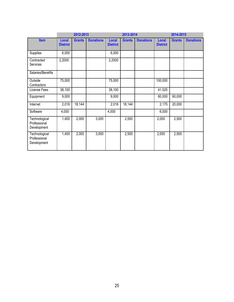|                                              | 2012-2013                |               |                  | 2013-2014                       |               |                  | 2014-2015                |               |                  |
|----------------------------------------------|--------------------------|---------------|------------------|---------------------------------|---------------|------------------|--------------------------|---------------|------------------|
| <b>Item</b>                                  | Local<br><b>District</b> | <b>Grants</b> | <b>Donations</b> | <b>Local</b><br><b>District</b> | <b>Grants</b> | <b>Donations</b> | Local<br><b>District</b> | <b>Grants</b> | <b>Donations</b> |
| Supplies                                     | 6,000                    |               |                  | 6,000                           |               |                  |                          |               |                  |
| Contracted<br>Services                       | 2,2000                   |               |                  | 2,2000                          |               |                  |                          |               |                  |
| Salaries/Benefits                            |                          |               |                  |                                 |               |                  |                          |               |                  |
| Outside<br>Contractors                       | 75,000                   |               |                  | 75,000                          |               |                  | 100,000                  |               |                  |
| License Fees                                 | 38,100                   |               |                  | 38,100                          |               |                  | 41,525                   |               |                  |
| Equipment                                    | 9,000                    |               |                  | 9,000                           |               |                  | 60,000                   | 60,000        |                  |
| Internet                                     | 2,016                    | 18,144        |                  | 2,016                           | 18,144        |                  | 2,175                    | 20,000        |                  |
| Software                                     | 4,000                    |               |                  | 4,000                           |               |                  | 6,000                    |               |                  |
| Technological<br>Professional<br>Development | 1,400                    | 2,000         | 3,000            |                                 | 2,500         |                  | 2,000                    | 2,500         |                  |
| Technological<br>Professional<br>Development | 1,400                    | 2,000         | 3,000            |                                 | 2,500         |                  | 2,000                    | 2,500         |                  |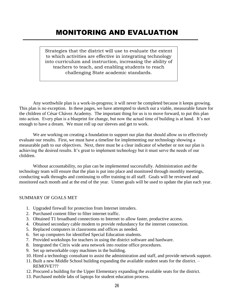# MONITORING AND EVALUATION

Strategies that the district will use to evaluate the extent to which activities are effective in integrating technology into curriculum and instruction, increasing the ability of teachers to teach, and enabling students to reach challenging State academic standards.

Any worthwhile plan is a work-in-progress; it will never be completed because it keeps growing. This plan is no exception. In these pages, we have attempted to sketch out a viable, measurable future for the children of César Chávez Academy. The important thing for us is to move forward, to put this plan into action. Every plan is a blueprint for change, but now the actual time of building is at hand. It's not enough to have a dream. We must roll up our sleeves and get to work.

We are working on creating a foundation to support our plan that should allow us to effectively evaluate our results. First, we must have a timeline for implementing our technology showing a measurable path to our objectives. Next, there must be a clear indicator of whether or not our plan is achieving the desired results. It's great to implement technology but it must serve the needs of our children.

Without accountability, no plan can be implemented successfully. Administration and the technology team will ensure that the plan is put into place and monitored through monthly meetings, conducting walk throughs and continuing to offer training to all staff. Goals will be reviewed and monitored each month and at the end of the year. Unmet goals will be used to update the plan each year.

#### SUMMARY OF GOALS MET

- 1. Upgraded firewall for protection from Internet intruders.
- 2. Purchased content filter to filter internet traffic.
- 3. Obtained T1 broadband connections to Internet to allow faster, productive access.
- 4. Obtained secondary cable modem to provide redundancy for the internet connection.
- 5. Replaced computers in classrooms and offices as needed.
- 6. Set up computers for identified Special Education students.
- 7. Provided workshops for teachers in using the district software and hardware.
- 8. Integrated the Citrix wide area network into routine office procedures.
- 9. Set up networkable copy machines in the building.
- 10. Hired a technology consultant to assist the administration and staff, and provide network support.
- 11. Built a new Middle School building expanding the available student seats for the district. REMOVE???
- 12. Procured a building for the Upper Elementary expanding the available seats for the district.
- 13. Purchased mobile labs of laptops for student education process.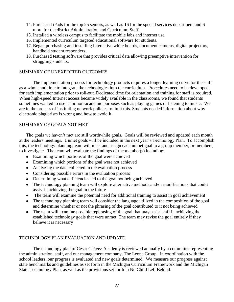- 14. Purchased iPads for the top 25 seniors, as well as 16 for the special services department and 6 more for the district Administration and Curriculum Staff.
- 15. Installed a wireless campus to facilitate the mobile labs and internet use.
- 16. Implemented curriculum targeted educational software for students.
- 17. Began purchasing and installing interactive white boards, document cameras, digital projectors, handheld student responders.
- 18. Purchased testing software that provides critical data allowing preemptive intervention for struggling students.

# SUMMARY OF UNEXPECTED OUTCOMES

The implementation process for technology products requires a longer learning curve for the staff as a whole and time to integrate the technologies into the curriculum. Procedures need to be developed for each implementation prior to roll-out. Dedicated time for orientation and training for staff is required. When high-speed Internet access became widely available in the classrooms, we found that students sometimes wanted to use it for non-academic purposes such as playing games or listening to music. We are in the process of instituting network policies to limit this. Students needed information about why electronic plagiarism is wrong and how to avoid it.

# SUMMARY OF GOALS NOT MET

The goals we haven't met are still worthwhile goals. Goals will be reviewed and updated each month at the leaders meetings. Unmet goals will be included in the next year's Technology Plan. To accomplish this, the technology planning team will meet and assign each unmet goal to a group member, or members, to investigate. The team will evaluate the findings of the member(s) including:

- Examining which portions of the goal were achieved
- Examining which portions of the goal were not achieved
- Analyzing the data collected in the evaluation process
- Considering possible errors in the evaluation process
- Determining what deficiencies led to the goal not being achieved
- The technology planning team will explore alternative methods and/or modifications that could assist in achieving the goal in the future
- The team will examine the potential need for additional training to assist in goal achievement  $\bullet$
- The technology planning team will consider the language utilized in the composition of the goal and determine whether or not the phrasing of the goal contributed to it not being achieved
- The team will examine possible rephrasing of the goal that may assist staff in achieving the established technology goals that were unmet. The team may revise the goal entirely if they believe it is necessary

# TECHNOLOGY PLAN EVALUATION AND UPDATE

The technology plan of César Chávez Academy is reviewed annually by a committee representing the administration, staff, and our management company, The Leona Group. In coordination with the school leaders, our progress is evaluated and new goals determined. We measure our progress against state benchmarks and guidelines as set forth in the Michigan Curriculum Framework and the Michigan State Technology Plan, as well as the provisions set forth in No Child Left Behind.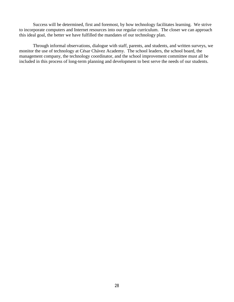Success will be determined, first and foremost, by how technology facilitates learning. We strive to incorporate computers and Internet resources into our regular curriculum. The closer we can approach this ideal goal, the better we have fulfilled the mandates of our technology plan.

Through informal observations, dialogue with staff, parents, and students, and written surveys, we monitor the use of technology at César Chávez Academy. The school leaders, the school board, the management company, the technology coordinator, and the school improvement committee must all be included in this process of long-term planning and development to best serve the needs of our students.